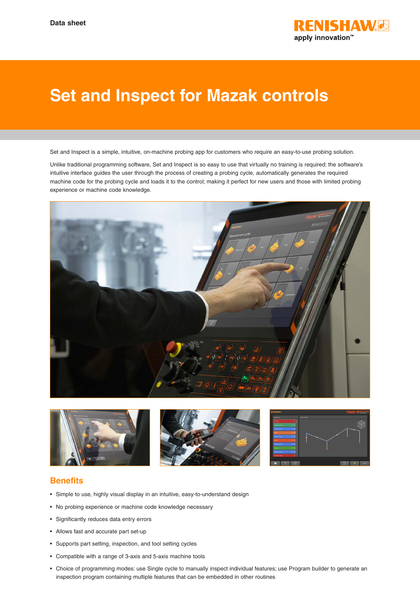

## **Set and Inspect for Mazak controls**

Set and Inspect is a simple, intuitive, on-machine probing app for customers who require an easy-to-use probing solution.

Unlike traditional programming software, Set and Inspect is so easy to use that virtually no training is required: the software's intuitive interface guides the user through the process of creating a probing cycle, automatically generates the required machine code for the probing cycle and loads it to the control; making it perfect for new users and those with limited probing experience or machine code knowledge.





## **Benefits**

- Simple to use, highly visual display in an intuitive, easy-to-understand design
- No probing experience or machine code knowledge necessary
- Significantly reduces data entry errors
- Allows fast and accurate part set-up
- Supports part setting, inspection, and tool setting cycles
- Compatible with a range of 3-axis and 5-axis machine tools
- Choice of programming modes: use Single cycle to manually inspect individual features; use Program builder to generate an inspection program containing multiple features that can be embedded in other routines